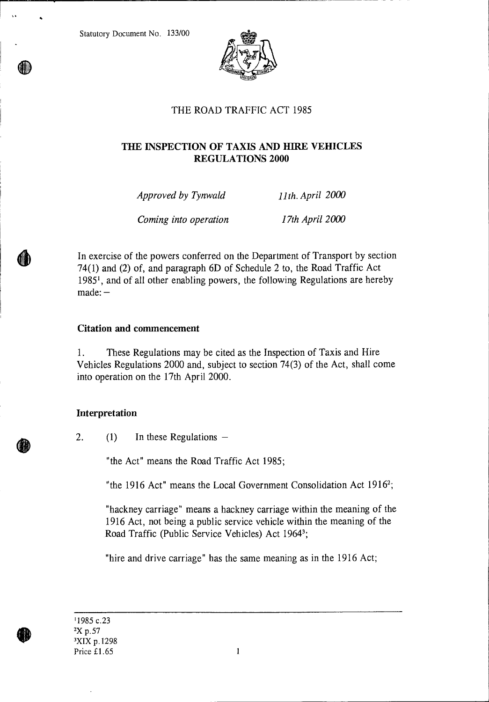Statutory Document No. 133/00



# THE ROAD TRAFFIC ACT 1985

# **THE INSPECTION OF TAXIS AND HIRE VEHICLES REGULATIONS 2000**

| Approved by Tynwald   | 11th. April 2000 |
|-----------------------|------------------|
| Coming into operation | 17th April 2000  |

In exercise of the powers conferred on the Department of Transport by section 74(1) and (2) of, and paragraph 6D of Schedule 2 to, the Road Traffic Act 19851 , and of all other enabling powers, the following Regulations are hereby made: —

# **Citation and commencement**

1. These Regulations may be cited as the Inspection of Taxis and Hire Vehicles Regulations 2000 and, subject to section 74(3) of the Act, shall come into operation on the 17th April 2000.

# **Interpretation**

2. (1) In these Regulations —

"the Act" means the Road Traffic Act 1985;

"the 1916 Act" means the Local Government Consolidation Act  $1916^2$ ;

"hackney carriage" means a hackney carriage within the meaning of the 1916 Act, not being a public service vehicle within the meaning of the Road Traffic (Public Service Vehicles) Act 1964<sup>3</sup>;

"hire and drive carriage" has the same meaning as in the 1916 Act;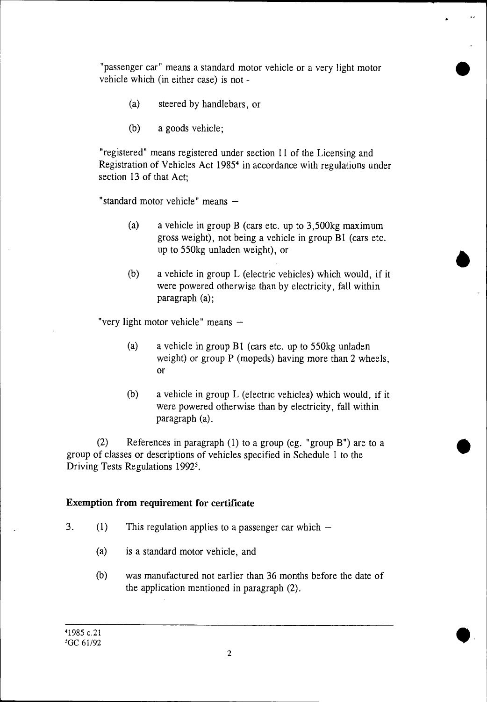"passenger car" means a standard motor vehicle or a very light motor vehicle which (in either case) is not -

- (a) steered by handlebars, or
- (b) a goods vehicle;

"registered" means registered under section **11** of the Licensing and Registration of Vehicles Act 1985<sup>4</sup> in accordance with regulations under section 13 of that Act;

"standard motor vehicle" means —

- (a) a vehicle in group **B** (cars etc. up to 3,500kg maximum gross weight), not being a vehicle in group **B1** (cars etc. up to 550kg unladen weight), or
- (b) a vehicle in group L (electric vehicles) which would, if it were powered otherwise than by electricity, fall within paragraph (a);

"very light motor vehicle" means —

- (a) a vehicle in group **B1** (cars etc. up to 550kg unladen weight) or group **P** (mopeds) having more than 2 wheels, or
- (b) a vehicle in group L (electric vehicles) which would, if it were powered otherwise than by electricity, fall within paragraph (a).

(2) References in paragraph (1) to a group (eg. "group **B")** are to a group of classes or descriptions of vehicles specified in Schedule 1 to the Driving Tests Regulations 1992<sup>5</sup>.

# **Exemption from requirement for certificate**

- 3. (1) This regulation applies to a passenger car which  $-$ 
	- (a) is a standard motor vehicle, and
	- (b) was manufactured not earlier than 36 months before the date of the application mentioned in paragraph (2).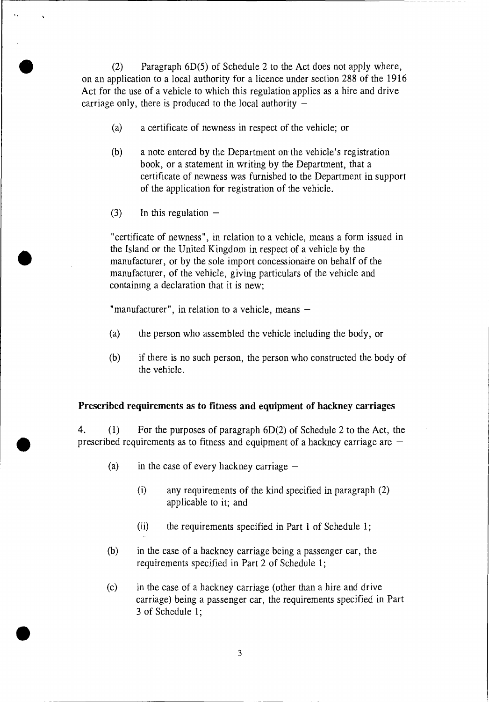(2) Paragraph 6D(5) of Schedule 2 to the Act does not apply where, on an application to a local authority for a licence under section 288 of the 1916 Act for the use of a vehicle to which this regulation applies as a hire and drive carriage only, there is produced to the local authority  $-$ 

- (a) a certificate of newness in respect of the vehicle; or
- (b) a note entered by the Department on the vehicle's registration book, or a statement in writing by the Department, that a certificate of newness was furnished to the Department in support of the application for registration of the vehicle.
- $(3)$  In this regulation  $-$

Ñ,

"certificate of newness", in relation to a vehicle, means a form issued in the Island or the United Kingdom in respect of a vehicle by the manufacturer, or by the sole import concessionaire on behalf of the manufacturer, of the vehicle, giving particulars of the vehicle and containing a declaration that it is new;

"manufacturer", in relation to a vehicle, means —

- (a) the person who assembled the vehicle including the body, or
- (b) if there is no such person, the person who constructed the body of the vehicle.

# **Prescribed requirements as to fitness and equipment of hackney carriages**

**4.** (1) For the purposes of paragraph 6D(2) of Schedule 2 to the Act, the prescribed requirements as to fitness and equipment of a hackney carriage are —

- (a) in the case of every hackney carriage  $-$ 
	- (i) any requirements of the kind specified in paragraph (2) applicable to it; and
	- (ii) the requirements specified in Part 1 of Schedule 1;
- **(b)** in the case of a hackney carriage being a passenger car, the requirements specified in Part 2 of Schedule 1;
- (c) in the case of a hackney carriage (other than a hire and drive carriage) being a passenger car, the requirements specified in Part 3 of Schedule 1;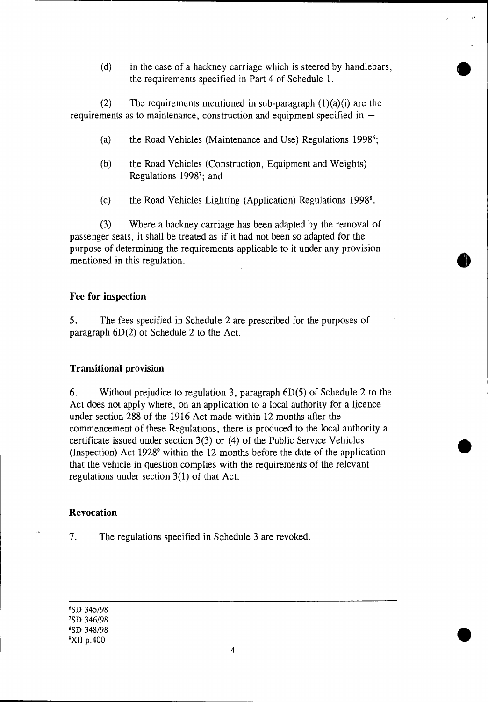(d) in the case of a hackney carriage which is steered by handlebars, the requirements specified in Part 4 of Schedule 1.

(2) The requirements mentioned in sub-paragraph  $(1)(a)(i)$  are the requirements as to maintenance, construction and equipment specified in  $-$ 

- (a) the Road Vehicles (Maintenance and Use) Regulations 1998<sup>6</sup>;
- (b) the Road Vehicles (Construction, Equipment and Weights) Regulations 1998<sup>7</sup>; and
- (c) the Road Vehicles Lighting (Application) Regulations 1998<sup>8</sup>.

(3) Where a hackney carriage has been adapted by the removal of passenger seats, it shall be treated as if it had not been so adapted for the purpose of determining the requirements applicable to it under any provision mentioned in this regulation.

# **Fee for inspection**

5. The fees specified in Schedule 2 are prescribed for the purposes of paragraph 6D(2) of Schedule 2 to the Act.

# **Transitional provision**

6. Without prejudice to regulation 3, paragraph 6D(5) of Schedule 2 to the Act does not apply where, on an application to a local authority for a licence under section 288 of the 1916 Act made within 12 months after the commencement of these Regulations, there is produced to the local authority a certificate issued under section 3(3) or (4) of the Public Service Vehicles (Inspection) Act  $1928^9$  within the 12 months before the date of the application that the vehicle in question complies with the requirements of the relevant regulations under section 3(1) of that Act.

# **Revocation**

7. The regulations specified in Schedule 3 are revoked.

'SD 345/98 'SD 346/98 'SD 348/98 <sup>9</sup>X11 p.400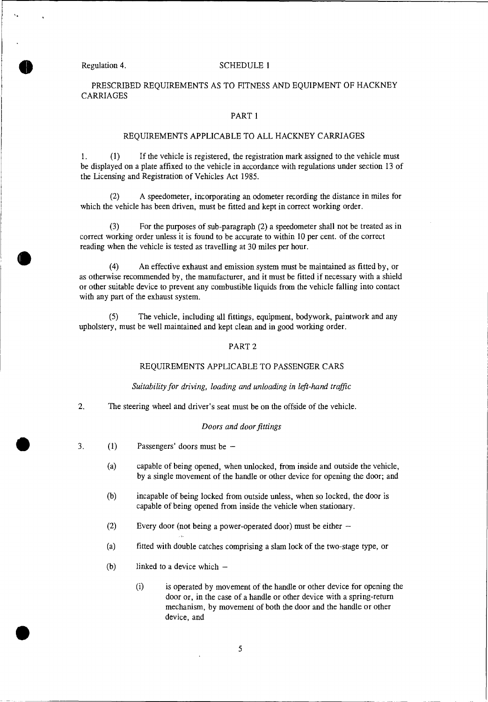# Regulation 4. SCHEDULE 1

PRESCRIBED REQUIREMENTS AS TO FITNESS AND EQUIPMENT OF HACKNEY CARRIAGES

### PART 1

### REQUIREMENTS APPLICABLE TO ALL HACKNEY CARRIAGES

1. (1) If the vehicle is registered, the registration mark assigned to the vehicle must be displayed on a plate affixed to the vehicle in accordance with regulations under section 13 of the Licensing and Registration of Vehicles Act 1985.

(2) A speedometer, incorporating an odometer recording the distance in miles for which the vehicle has been driven, must be fitted and kept in correct working order.

(3) For the purposes of sub-paragraph (2) a speedometer shall not be treated as in correct working order unless it is found to be accurate to within 10 per cent. of the correct reading when the vehicle is tested as travelling at 30 miles per hour.

(4) An effective exhaust and emission system must be maintained as fitted by, or as otherwise recommended by, the manufacturer, and it must be fitted if necessary with a shield or other suitable device to prevent any combustible liquids from the vehicle falling into contact with any part of the exhaust system.

(5) The vehicle, including all fittings, equipment, bodywork, paintwork and any upholstery, must be well maintained and kept clean and in good working order.

### PART 2

### REQUIREMENTS APPLICABLE TO PASSENGER CARS

### *Suitability for driving, loading and unloading in left-hand traffic*

2. The steering wheel and driver's seat must be on the offside of the vehicle.

- *Doors and door fittings*<br>3. (1) Passengers' doors must be
	- (a) capable of being opened, when unlocked, from inside and outside the vehicle, by a single movement of the handle or other device for opening the door; and
	- (b) incapable of being locked from outside unless, when so locked, the door is capable of being opened from inside the vehicle when stationary.
	- (2) Every door (not being a power-operated door) must be either —
	- (a) fitted with double catches comprising a slam lock of the two-stage type, or
	- (b) linked to a device which —
- (i) is operated by movement of the handle or other device for opening the door or, in the case of a handle or other device with a spring-return mechanism, by movement of both the door and the handle or other device, and  $\bullet$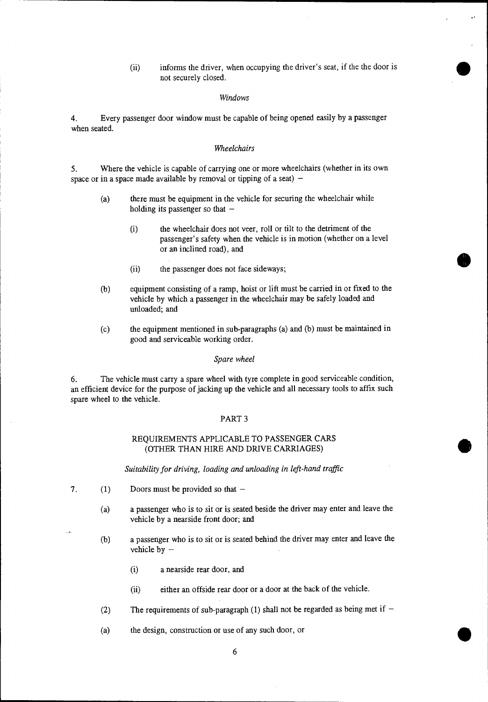(ii) informs the driver, when occupying the driver's seat, if the the door is not securely closed.

### *Windows*

4. Every passenger door window must be capable of being opened easily by a passenger when seated.

### *Wheelchairs*

5. Where the vehicle is capable of carrying one or more wheelchairs (whether in its own space or in a space made available by removal or tipping of a seat)  $-$ 

- (a) there must be equipment in the vehicle for securing the wheelchair while holding its passenger so that  $-$ 
	- (i) the wheelchair does not veer, roll or tilt to the detriment of the passenger's safety when the vehicle is in motion (whether on a level or an inclined road), and
	- (ii) the passenger does not face sideways;
- (b) equipment consisting of a ramp, hoist or lift must be carried in or fixed to the vehicle by which a passenger in the wheelchair may be safely loaded and unloaded; and
- (c) the equipment mentioned in sub-paragraphs (a) and (b) must be maintained in good and serviceable working order.

### *Spare wheel*

6. The vehicle must carry a spare wheel with tyre complete in good serviceable condition, an efficient device for the purpose of jacking up the vehicle and all necessary tools to affix such spare wheel to the vehicle.

### PART 3

### REQUIREMENTS APPLICABLE TO PASSENGER CARS (OTHER THAN HIRE AND DRIVE CARRIAGES)

*Suitability for driving, loading and unloading in left-hand traffic* 

- *7. (1)* Doors must be provided so that
	- (a) a passenger who is to sit or is seated beside the driver may enter and leave the vehicle by a nearside front door; and
	- (b) a passenger who is to sit or is seated behind the driver may enter and leave the vehicle by —
		- (i) a nearside rear door, and
		- (ii) either an offside rear door or a door at the back of the vehicle.
	- (2) The requirements of sub-paragraph (1) shall not be regarded as being met if  $-$
	- (a) the design, construction or use of any such door, or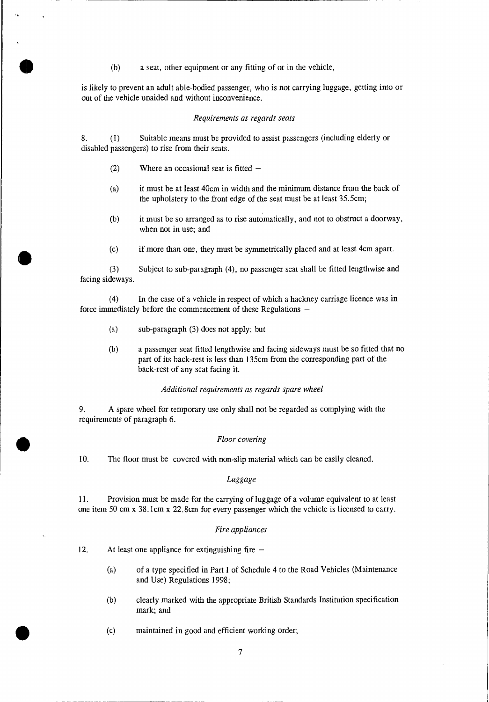(b) a seat, other equipment or any fitting of or in the vehicle,

is likely to prevent an adult able-bodied passenger, who is not carrying luggage, getting into or out of the vehicle unaided and without inconvenience.

### *Requirements as regards seats*

8. (1) Suitable means must be provided to assist passengers (including elderly or disabled passengers) to rise from their seats.

- (2) Where an occasional seat is fitted  $-$
- (a) it must be at least 40cm in width and the minimum distance from the back of the upholstery to the front edge of the seat must be at least 35.5cm;
- (b) it must be so arranged as to rise automatically, and not to obstruct a doorway, when not in use; and
- 

(c) if more than one, they must be symmetrically placed and at least 4cm apart.<br>
(3) Subject to sub-paragraph (4), no passenger seat shall be fitted lengthwise and facing sideways.

> (4) In the case of a vehicle in respect of which a hackney carriage licence was in force immediately before the commencement of these Regulations —

- (a) sub-paragraph (3) does not apply; but
- (b) a passenger seat fitted lengthwise and facing sideways must be so fitted that no part of its back-rest is less than 135cm from the corresponding part of the back-rest of any seat facing it.

### *Additional requirements as regards spare wheel*

9. A spare wheel for temporary use only shall not be regarded as complying with the requirements of paragraph 6.

# **Floor covering**

*10.* The floor must be covered with non-slip material which can be easily cleaned.

### *Luggage*

11. Provision must be made for the carrying of luggage of a volume equivalent to at least one item 50 cm x 38.1cm x 22.8cm for every passenger which the vehicle is licensed to carry.

### *Fire appliances*

12. At least one appliance for extinguishing fire —

•

- (a) of a type specified in Part I of Schedule 4 to the Road Vehicles (Maintenance and Use) Regulations 1998;
- (b) clearly marked with the appropriate British Standards Institution specification mark; and
- (c) maintained in good and efficient working order;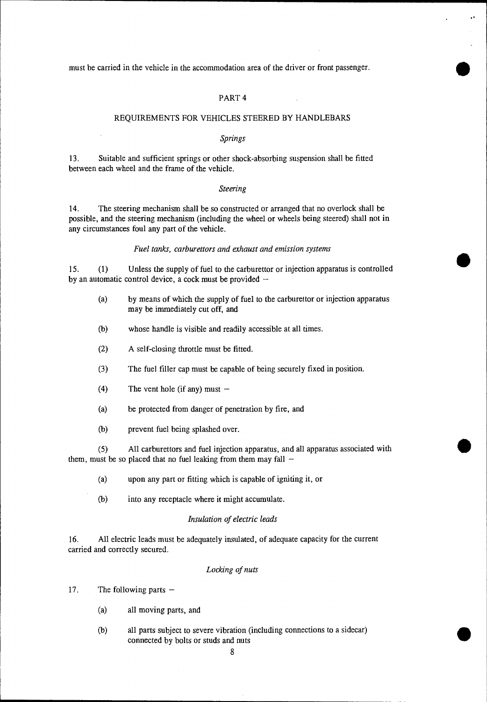must be carried in the vehicle in the accommodation area of the driver or front passenger. •

## PART 4

### REQUIREMENTS FOR VEHICLES STEERED BY HANDLEBARS

### *Springs*

13. Suitable and sufficient springs or other shock-absorbing suspension shall be fitted between each wheel and the frame of the vehicle.

### *Steering*

14. The steering mechanism shall be so constructed or arranged that no overlock shall be possible, and the steering mechanism (including the wheel or wheels being steered) shall not in any circumstances foul any part of the vehicle.

### *Fuel tanks, carburettors and exhaust and emission systems*

15. (1) Unless the supply of fuel to the carburettor or injection apparatus is controlled by an automatic control device, a cock must be provided  $-$ 

- (a) by means of which the supply of fuel to the carburettor or injection apparatus may be immediately cut off, and
- (b) whose handle is visible and readily accessible at all times.
- (2) A self-closing throttle must be fitted.
- (3 ) The fuel filler cap must be capable of being securely fixed in position.
- (4) The vent hole (if any) must —
- (a) be protected from danger of penetration by fire, and
- (b) prevent fuel being splashed over.

(5) All carburettors and fuel injection apparatus, and all apparatus associated with them, must be so placed that no fuel leaking from them may fall  $-$ 

- (a) upon any part or fitting which is capable of igniting it, or
- (b) into any receptacle where it might accumulate.

### *Insulation of electric leads*

16. All electric leads must be adequately insulated, of adequate capacity for the current carried and correctly secured.

## *Locking of nuts*

17. The following parts —

- (a) all moving parts, and
- (b) all parts subject to severe vibration (including connections to a sidecar) connected by bolts or studs and nuts

8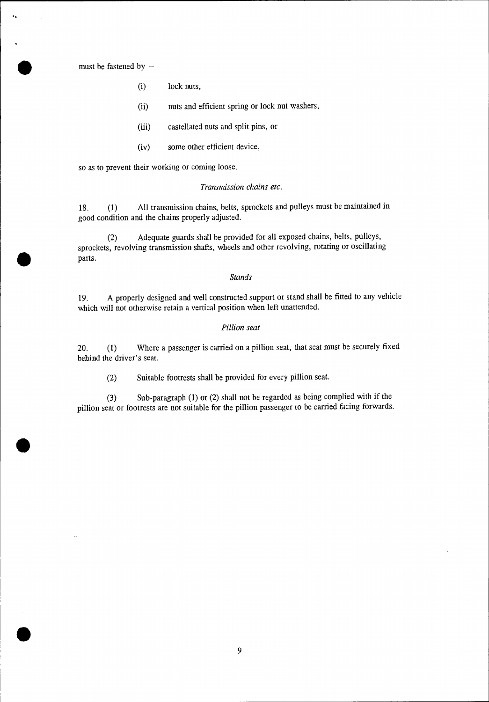must be fastened by —

•

•

 $\bullet$ 

- (i) lock nuts,
- (ii) nuts and efficient spring or lock nut washers,
- (iii) castellated nuts and split pins, or
- (iv) some other efficient device,

so as to prevent their working or coming loose.

### *Transmission chains etc.*

18. (1) All transmission chains, belts, sprockets and pulleys must be maintained in good condition and the chains properly adjusted.

(2) Adequate guards shall be provided for all exposed chains, belts, pulleys, sprockets, revolving transmission shafts, wheels and other revolving, rotating or oscillating parts.

### *Stands*

19. A properly designed and well constructed support or stand shall be fitted to any vehicle which will not otherwise retain a vertical position when left unattended.

### *Pillion seat*

20. (1) Where a passenger is carried on a pillion seat, that seat must be securely fixed behind the driver's seat.

(2) Suitable footrests shall be provided for every pillion seat.

(3) Sub-paragraph (1) or (2) shall not be regarded as being complied with if the pillion seat or footrests are not suitable for the pillion passenger to be carried facing forwards.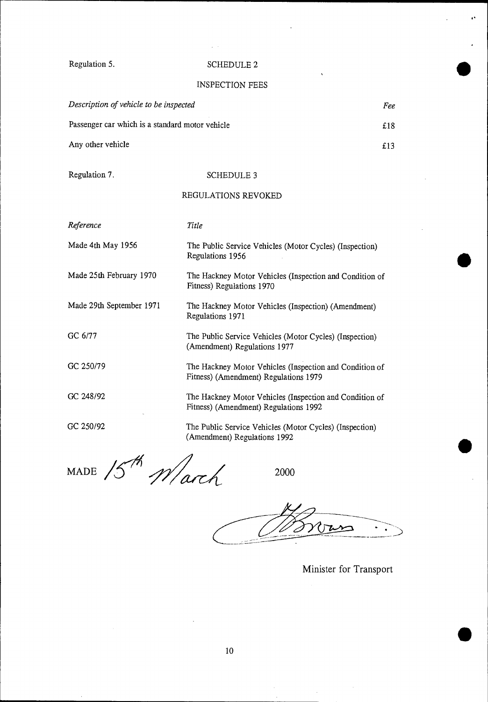# Regulation 5. SCHEDULE 2

 $\chi \rightarrow \chi$ 

# INSPECTION FEES

| Description of vehicle to be inspected          | Fee |
|-------------------------------------------------|-----|
| Passenger car which is a standard motor vehicle | £18 |
| Any other vehicle                               | f13 |

# Regulation 7. SCHEDULE 3

# REGULATIONS REVOKED

| Reference                | Title                                                                                            |
|--------------------------|--------------------------------------------------------------------------------------------------|
| Made 4th May 1956        | The Public Service Vehicles (Motor Cycles) (Inspection)<br>Regulations 1956                      |
| Made 25th February 1970  | The Hackney Motor Vehicles (Inspection and Condition of<br>Fitness) Regulations 1970             |
| Made 29th September 1971 | The Hackney Motor Vehicles (Inspection) (Amendment)<br>Regulations 1971                          |
| GC 6/77                  | The Public Service Vehicles (Motor Cycles) (Inspection)<br>(Amendment) Regulations 1977          |
| GC 250/79                | The Hackney Motor Vehicles (Inspection and Condition of<br>Fitness) (Amendment) Regulations 1979 |
| GC 248/92                | The Hackney Motor Vehicles (Inspection and Condition of<br>Fitness) (Amendment) Regulations 1992 |
| GC 250/92                | The Public Service Vehicles (Motor Cycles) (Inspection)<br>(Amendment) Regulations 1992          |
| $\sqrt{2}$               |                                                                                                  |

MADE  $15^{th}$  March  $^{2000}$ 

 $0 \rightarrow$ 

Minister for Transport

•

 $\ddot{\phantom{1}}$ 

•

•